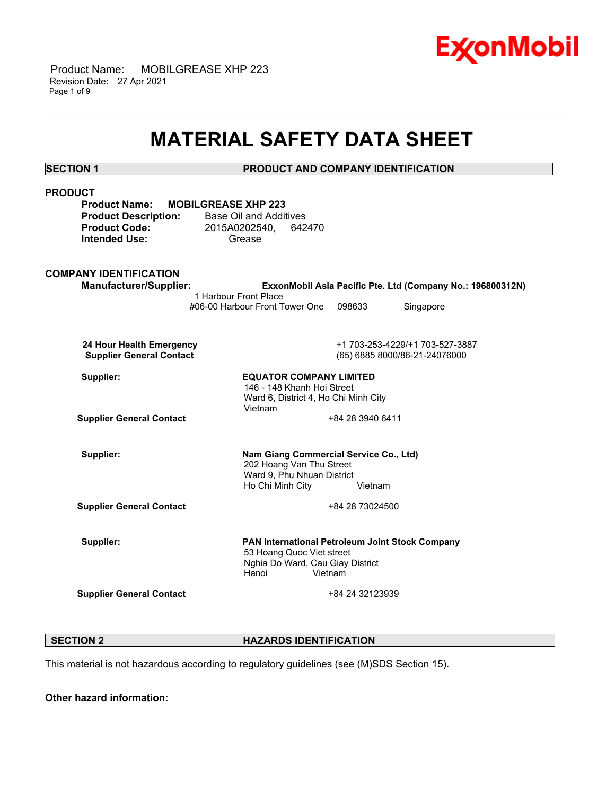

 Product Name: MOBILGREASE XHP 223 Revision Date: 27 Apr 2021 Page 1 of 9

## **MATERIAL SAFETY DATA SHEET**

\_\_\_\_\_\_\_\_\_\_\_\_\_\_\_\_\_\_\_\_\_\_\_\_\_\_\_\_\_\_\_\_\_\_\_\_\_\_\_\_\_\_\_\_\_\_\_\_\_\_\_\_\_\_\_\_\_\_\_\_\_\_\_\_\_\_\_\_\_\_\_\_\_\_\_\_\_\_\_\_\_\_\_\_\_\_\_\_\_\_\_\_\_\_\_\_\_\_\_\_\_\_\_\_\_\_\_\_\_\_\_\_\_\_\_\_\_\_

**SECTION 1 PRODUCT AND COMPANY IDENTIFICATION**

| <b>PRODUCT</b><br><b>Product Name:</b><br><b>MOBILGREASE XHP 223</b><br><b>Product Description:</b><br><b>Product Code:</b><br><b>Intended Use:</b> | <b>Base Oil and Additives</b><br>2015A0202540,<br>642470<br>Grease                                                                   |                  |                                                                  |
|-----------------------------------------------------------------------------------------------------------------------------------------------------|--------------------------------------------------------------------------------------------------------------------------------------|------------------|------------------------------------------------------------------|
| <b>COMPANY IDENTIFICATION</b><br><b>Manufacturer/Supplier:</b>                                                                                      |                                                                                                                                      |                  | ExxonMobil Asia Pacific Pte. Ltd (Company No.: 196800312N)       |
|                                                                                                                                                     | 1 Harbour Front Place<br>#06-00 Harbour Front Tower One                                                                              | 098633           | Singapore                                                        |
| 24 Hour Health Emergency<br><b>Supplier General Contact</b>                                                                                         |                                                                                                                                      |                  | +1 703-253-4229/+1 703-527-3887<br>(65) 6885 8000/86-21-24076000 |
| Supplier:                                                                                                                                           | <b>EQUATOR COMPANY LIMITED</b><br>146 - 148 Khanh Hoi Street<br>Ward 6, District 4, Ho Chi Minh City<br>Vietnam                      |                  |                                                                  |
| <b>Supplier General Contact</b>                                                                                                                     |                                                                                                                                      | +84 28 3940 6411 |                                                                  |
| Supplier:                                                                                                                                           | Nam Giang Commercial Service Co., Ltd)<br>202 Hoang Van Thu Street<br>Ward 9, Phu Nhuan District<br>Ho Chi Minh City                 | Vietnam          |                                                                  |
| <b>Supplier General Contact</b>                                                                                                                     |                                                                                                                                      | +84 28 73024500  |                                                                  |
| Supplier:                                                                                                                                           | PAN International Petroleum Joint Stock Company<br>53 Hoang Quoc Viet street<br>Nghia Do Ward, Cau Giay District<br>Hanoi<br>Vietnam |                  |                                                                  |
| <b>Supplier General Contact</b>                                                                                                                     |                                                                                                                                      | +84 24 32123939  |                                                                  |

**SECTION 2 HAZARDS IDENTIFICATION** 

This material is not hazardous according to regulatory guidelines (see (M)SDS Section 15).

**Other hazard information:**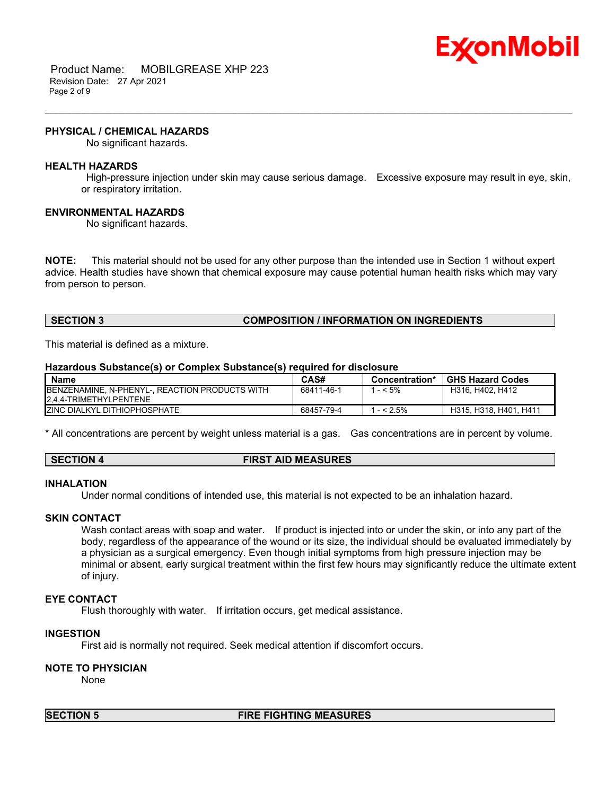

 Product Name: MOBILGREASE XHP 223 Revision Date: 27 Apr 2021 Page 2 of 9

#### **PHYSICAL / CHEMICAL HAZARDS**

No significant hazards.

#### **HEALTH HAZARDS**

 High-pressure injection under skin may cause serious damage. Excessive exposure may result in eye, skin, or respiratory irritation.

\_\_\_\_\_\_\_\_\_\_\_\_\_\_\_\_\_\_\_\_\_\_\_\_\_\_\_\_\_\_\_\_\_\_\_\_\_\_\_\_\_\_\_\_\_\_\_\_\_\_\_\_\_\_\_\_\_\_\_\_\_\_\_\_\_\_\_\_\_\_\_\_\_\_\_\_\_\_\_\_\_\_\_\_\_\_\_\_\_\_\_\_\_\_\_\_\_\_\_\_\_\_\_\_\_\_\_\_\_\_\_\_\_\_\_\_\_\_

#### **ENVIRONMENTAL HAZARDS**

No significant hazards.

**NOTE:** This material should not be used for any other purpose than the intended use in Section 1 without expert advice. Health studies have shown that chemical exposure may cause potential human health risks which may vary from person to person.

#### **SECTION 3 COMPOSITION / INFORMATION ON INGREDIENTS**

This material is defined as a mixture.

#### **Hazardous Substance(s) or Complex Substance(s) required for disclosure**

| <b>Name</b>                                            | CAS#       | Concentration* | <b>GHS Hazard Codes</b> |
|--------------------------------------------------------|------------|----------------|-------------------------|
| <b>IBENZENAMINE, N-PHENYL-, REACTION PRODUCTS WITH</b> | 68411-46-1 | $-5\%$         | H316, H402, H412        |
| 2.4.4-TRIMETHYLPENTENE                                 |            |                |                         |
| <b>IZINC DIALKYL DITHIOPHOSPHATE</b>                   | 68457-79-4 | $-52.5%$       | H315, H318, H401, H411  |

\* All concentrations are percent by weight unless material is a gas. Gas concentrations are in percent by volume.

#### **SECTION 4 FIRST AID MEASURES**

#### **INHALATION**

Under normal conditions of intended use, this material is not expected to be an inhalation hazard.

#### **SKIN CONTACT**

Wash contact areas with soap and water. If product is injected into or under the skin, or into any part of the body, regardless of the appearance of the wound or its size, the individual should be evaluated immediately by a physician as a surgical emergency. Even though initial symptoms from high pressure injection may be minimal or absent, early surgical treatment within the first few hours may significantly reduce the ultimate extent of injury.

#### **EYE CONTACT**

Flush thoroughly with water. If irritation occurs, get medical assistance.

#### **INGESTION**

First aid is normally not required. Seek medical attention if discomfort occurs.

#### **NOTE TO PHYSICIAN**

None

#### **SECTION 5 FIRE FIGHTING MEASURES**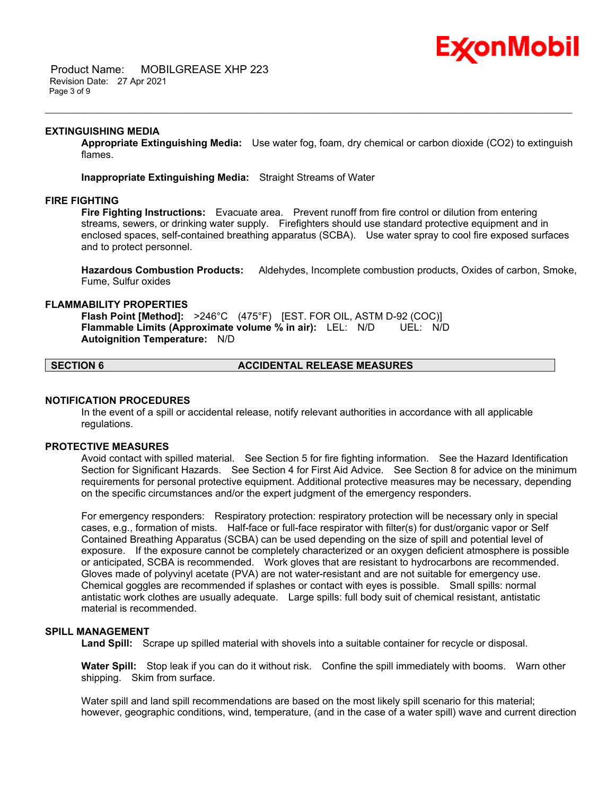# Ex⁄onMobil

 Product Name: MOBILGREASE XHP 223 Revision Date: 27 Apr 2021 Page 3 of 9

#### **EXTINGUISHING MEDIA**

**Appropriate Extinguishing Media:** Use water fog, foam, dry chemical or carbon dioxide (CO2) to extinguish flames.

\_\_\_\_\_\_\_\_\_\_\_\_\_\_\_\_\_\_\_\_\_\_\_\_\_\_\_\_\_\_\_\_\_\_\_\_\_\_\_\_\_\_\_\_\_\_\_\_\_\_\_\_\_\_\_\_\_\_\_\_\_\_\_\_\_\_\_\_\_\_\_\_\_\_\_\_\_\_\_\_\_\_\_\_\_\_\_\_\_\_\_\_\_\_\_\_\_\_\_\_\_\_\_\_\_\_\_\_\_\_\_\_\_\_\_\_\_\_

**Inappropriate Extinguishing Media:** Straight Streams of Water

#### **FIRE FIGHTING**

**Fire Fighting Instructions:** Evacuate area. Prevent runoff from fire control or dilution from entering streams, sewers, or drinking water supply. Firefighters should use standard protective equipment and in enclosed spaces, self-contained breathing apparatus (SCBA). Use water spray to cool fire exposed surfaces and to protect personnel.

**Hazardous Combustion Products:** Aldehydes, Incomplete combustion products, Oxides of carbon, Smoke, Fume, Sulfur oxides

#### **FLAMMABILITY PROPERTIES**

**Flash Point [Method]:** >246°C (475°F) [EST. FOR OIL, ASTM D-92 (COC)] **Flammable Limits (Approximate volume % in air):** LEL: N/D UEL: N/D **Autoignition Temperature:** N/D

## **SECTION 6 ACCIDENTAL RELEASE MEASURES**

#### **NOTIFICATION PROCEDURES**

In the event of a spill or accidental release, notify relevant authorities in accordance with all applicable regulations.

#### **PROTECTIVE MEASURES**

Avoid contact with spilled material. See Section 5 for fire fighting information. See the Hazard Identification Section for Significant Hazards. See Section 4 for First Aid Advice. See Section 8 for advice on the minimum requirements for personal protective equipment. Additional protective measures may be necessary, depending on the specific circumstances and/or the expert judgment of the emergency responders.

For emergency responders: Respiratory protection: respiratory protection will be necessary only in special cases, e.g., formation of mists. Half-face or full-face respirator with filter(s) for dust/organic vapor or Self Contained Breathing Apparatus (SCBA) can be used depending on the size of spill and potential level of exposure. If the exposure cannot be completely characterized or an oxygen deficient atmosphere is possible or anticipated, SCBA is recommended. Work gloves that are resistant to hydrocarbons are recommended. Gloves made of polyvinyl acetate (PVA) are not water-resistant and are not suitable for emergency use. Chemical goggles are recommended if splashes or contact with eyes is possible. Small spills: normal antistatic work clothes are usually adequate. Large spills: full body suit of chemical resistant, antistatic material is recommended.

#### **SPILL MANAGEMENT**

**Land Spill:** Scrape up spilled material with shovels into a suitable container for recycle or disposal.

**Water Spill:** Stop leak if you can do it without risk. Confine the spill immediately with booms. Warn other shipping. Skim from surface.

Water spill and land spill recommendations are based on the most likely spill scenario for this material; however, geographic conditions, wind, temperature, (and in the case of a water spill) wave and current direction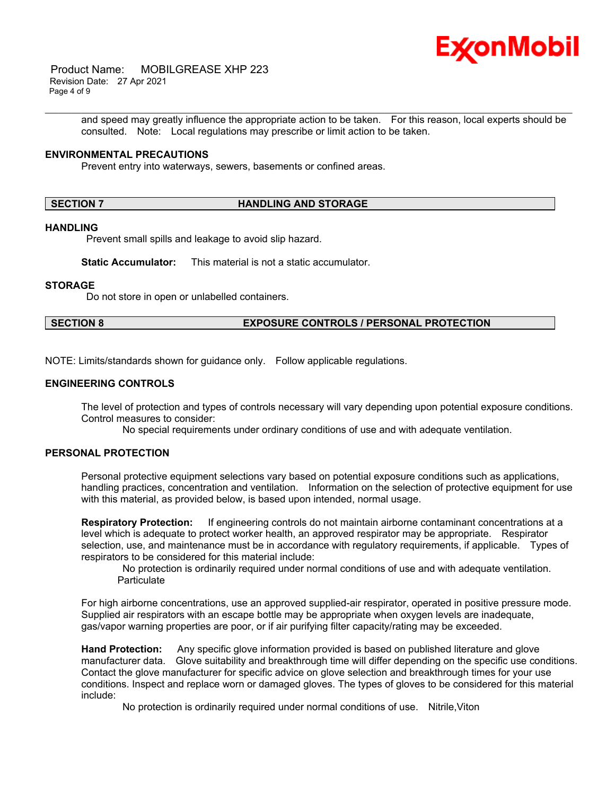

 Product Name: MOBILGREASE XHP 223 Revision Date: 27 Apr 2021 Page 4 of 9

> and speed may greatly influence the appropriate action to be taken. For this reason, local experts should be consulted. Note: Local regulations may prescribe or limit action to be taken.

\_\_\_\_\_\_\_\_\_\_\_\_\_\_\_\_\_\_\_\_\_\_\_\_\_\_\_\_\_\_\_\_\_\_\_\_\_\_\_\_\_\_\_\_\_\_\_\_\_\_\_\_\_\_\_\_\_\_\_\_\_\_\_\_\_\_\_\_\_\_\_\_\_\_\_\_\_\_\_\_\_\_\_\_\_\_\_\_\_\_\_\_\_\_\_\_\_\_\_\_\_\_\_\_\_\_\_\_\_\_\_\_\_\_\_\_\_\_

#### **ENVIRONMENTAL PRECAUTIONS**

Prevent entry into waterways, sewers, basements or confined areas.

#### **SECTION 7 HANDLING AND STORAGE**

## **HANDLING**

Prevent small spills and leakage to avoid slip hazard.

**Static Accumulator:** This material is not a static accumulator.

#### **STORAGE**

Do not store in open or unlabelled containers.

#### **SECTION 8 EXPOSURE CONTROLS / PERSONAL PROTECTION**

NOTE: Limits/standards shown for guidance only. Follow applicable regulations.

#### **ENGINEERING CONTROLS**

The level of protection and types of controls necessary will vary depending upon potential exposure conditions. Control measures to consider:

No special requirements under ordinary conditions of use and with adequate ventilation.

## **PERSONAL PROTECTION**

Personal protective equipment selections vary based on potential exposure conditions such as applications, handling practices, concentration and ventilation. Information on the selection of protective equipment for use with this material, as provided below, is based upon intended, normal usage.

**Respiratory Protection:** If engineering controls do not maintain airborne contaminant concentrations at a level which is adequate to protect worker health, an approved respirator may be appropriate. Respirator selection, use, and maintenance must be in accordance with regulatory requirements, if applicable. Types of respirators to be considered for this material include:

 No protection is ordinarily required under normal conditions of use and with adequate ventilation. **Particulate** 

For high airborne concentrations, use an approved supplied-air respirator, operated in positive pressure mode. Supplied air respirators with an escape bottle may be appropriate when oxygen levels are inadequate, gas/vapor warning properties are poor, or if air purifying filter capacity/rating may be exceeded.

**Hand Protection:** Any specific glove information provided is based on published literature and glove manufacturer data. Glove suitability and breakthrough time will differ depending on the specific use conditions. Contact the glove manufacturer for specific advice on glove selection and breakthrough times for your use conditions. Inspect and replace worn or damaged gloves. The types of gloves to be considered for this material include:

No protection is ordinarily required under normal conditions of use. Nitrile,Viton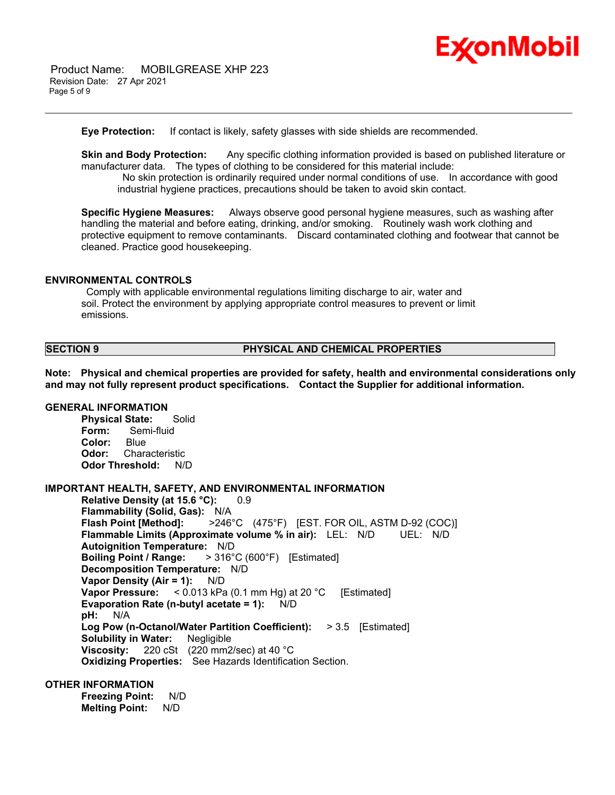

 Product Name: MOBILGREASE XHP 223 Revision Date: 27 Apr 2021 Page 5 of 9

**Eye Protection:** If contact is likely, safety glasses with side shields are recommended.

**Skin and Body Protection:** Any specific clothing information provided is based on published literature or manufacturer data. The types of clothing to be considered for this material include:

\_\_\_\_\_\_\_\_\_\_\_\_\_\_\_\_\_\_\_\_\_\_\_\_\_\_\_\_\_\_\_\_\_\_\_\_\_\_\_\_\_\_\_\_\_\_\_\_\_\_\_\_\_\_\_\_\_\_\_\_\_\_\_\_\_\_\_\_\_\_\_\_\_\_\_\_\_\_\_\_\_\_\_\_\_\_\_\_\_\_\_\_\_\_\_\_\_\_\_\_\_\_\_\_\_\_\_\_\_\_\_\_\_\_\_\_\_\_

 No skin protection is ordinarily required under normal conditions of use. In accordance with good industrial hygiene practices, precautions should be taken to avoid skin contact.

**Specific Hygiene Measures:** Always observe good personal hygiene measures, such as washing after handling the material and before eating, drinking, and/or smoking. Routinely wash work clothing and protective equipment to remove contaminants. Discard contaminated clothing and footwear that cannot be cleaned. Practice good housekeeping.

#### **ENVIRONMENTAL CONTROLS**

 Comply with applicable environmental regulations limiting discharge to air, water and soil. Protect the environment by applying appropriate control measures to prevent or limit emissions.

#### **SECTION 9 PHYSICAL AND CHEMICAL PROPERTIES**

**Note: Physical and chemical properties are provided for safety, health and environmental considerations only and may not fully represent product specifications. Contact the Supplier for additional information.**

#### **GENERAL INFORMATION**

**Physical State:** Solid **Form:** Semi-fluid **Color:** Blue **Odor:** Characteristic **Odor Threshold:** N/D

#### **IMPORTANT HEALTH, SAFETY, AND ENVIRONMENTAL INFORMATION**

**Relative Density (at 15.6 °C):** 0.9 **Flammability (Solid, Gas):** N/A **Flash Point [Method]:** >246°C (475°F) [EST. FOR OIL, ASTM D-92 (COC)] **Flammable Limits (Approximate volume % in air):** LEL: N/D UEL: N/D **Autoignition Temperature:** N/D **Boiling Point / Range:** > 316°C (600°F) [Estimated] **Decomposition Temperature:** N/D **Vapor Density (Air = 1):** N/D **Vapor Pressure:** < 0.013 kPa (0.1 mm Hg) at 20 °C [Estimated] **Evaporation Rate (n-butyl acetate = 1):** N/D **pH:** N/A **Log Pow (n-Octanol/Water Partition Coefficient):** > 3.5 [Estimated] **Solubility in Water:** Negligible **Viscosity:** 220 cSt (220 mm2/sec) at 40 °C **Oxidizing Properties:** See Hazards Identification Section.

### **OTHER INFORMATION**

**Freezing Point:** N/D **Melting Point:** N/D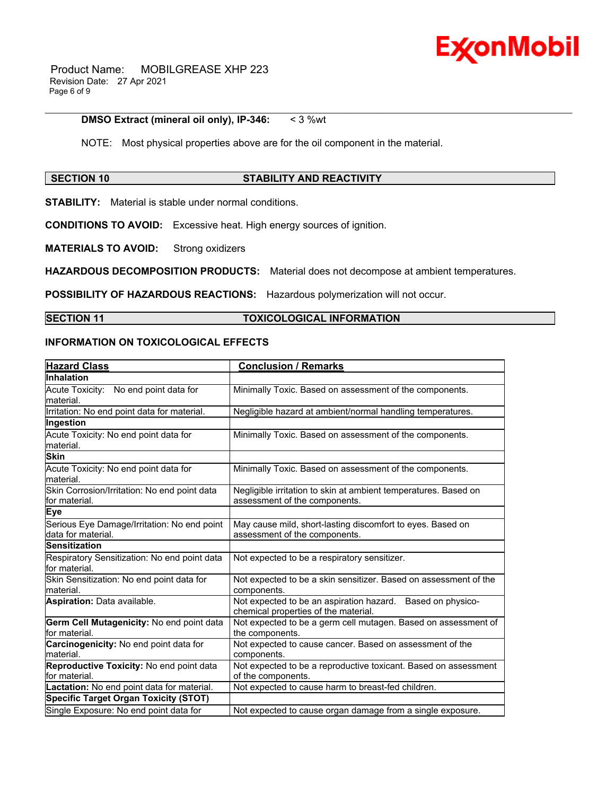

 Product Name: MOBILGREASE XHP 223 Revision Date: 27 Apr 2021 Page 6 of 9

#### **DMSO Extract (mineral oil only), IP-346:** < 3 %wt

NOTE: Most physical properties above are for the oil component in the material.

\_\_\_\_\_\_\_\_\_\_\_\_\_\_\_\_\_\_\_\_\_\_\_\_\_\_\_\_\_\_\_\_\_\_\_\_\_\_\_\_\_\_\_\_\_\_\_\_\_\_\_\_\_\_\_\_\_\_\_\_\_\_\_\_\_\_\_\_\_\_\_\_\_\_\_\_\_\_\_\_\_\_\_\_\_\_\_\_\_\_\_\_\_\_\_\_\_\_\_\_\_\_\_\_\_\_\_\_\_\_\_\_\_\_\_\_\_\_

#### **SECTION 10 STABILITY AND REACTIVITY**

**STABILITY:** Material is stable under normal conditions.

**CONDITIONS TO AVOID:** Excessive heat. High energy sources of ignition.

**MATERIALS TO AVOID:** Strong oxidizers

**HAZARDOUS DECOMPOSITION PRODUCTS:** Material does not decompose at ambient temperatures.

**POSSIBILITY OF HAZARDOUS REACTIONS:** Hazardous polymerization will not occur.

## **SECTION 11 TOXICOLOGICAL INFORMATION**

#### **INFORMATION ON TOXICOLOGICAL EFFECTS**

| <b>Hazard Class</b>                                               | <b>Conclusion / Remarks</b>                                                                        |
|-------------------------------------------------------------------|----------------------------------------------------------------------------------------------------|
| <b>Inhalation</b>                                                 |                                                                                                    |
| Acute Toxicity: No end point data for<br>lmaterial.               | Minimally Toxic. Based on assessment of the components.                                            |
| Irritation: No end point data for material.                       | Negligible hazard at ambient/normal handling temperatures.                                         |
| Ingestion                                                         |                                                                                                    |
| Acute Toxicity: No end point data for<br>lmaterial.               | Minimally Toxic. Based on assessment of the components.                                            |
| <b>Skin</b>                                                       |                                                                                                    |
| Acute Toxicity: No end point data for<br>lmaterial.               | Minimally Toxic. Based on assessment of the components.                                            |
| Skin Corrosion/Irritation: No end point data<br>lfor material.    | Negligible irritation to skin at ambient temperatures. Based on<br>assessment of the components.   |
| <b>Eye</b>                                                        |                                                                                                    |
| Serious Eye Damage/Irritation: No end point<br>data for material. | May cause mild, short-lasting discomfort to eyes. Based on<br>assessment of the components.        |
| <b>Sensitization</b>                                              |                                                                                                    |
| Respiratory Sensitization: No end point data<br>lfor material.    | Not expected to be a respiratory sensitizer.                                                       |
| Skin Sensitization: No end point data for<br>lmaterial.           | Not expected to be a skin sensitizer. Based on assessment of the<br>components.                    |
| Aspiration: Data available.                                       | Not expected to be an aspiration hazard. Based on physico-<br>chemical properties of the material. |
| Germ Cell Mutagenicity: No end point data<br>lfor material.       | Not expected to be a germ cell mutagen. Based on assessment of<br>the components.                  |
| Carcinogenicity: No end point data for<br>material.               | Not expected to cause cancer. Based on assessment of the<br>components.                            |
| Reproductive Toxicity: No end point data<br>for material.         | Not expected to be a reproductive toxicant. Based on assessment<br>of the components.              |
| Lactation: No end point data for material.                        | Not expected to cause harm to breast-fed children.                                                 |
| <b>Specific Target Organ Toxicity (STOT)</b>                      |                                                                                                    |
| Single Exposure: No end point data for                            | Not expected to cause organ damage from a single exposure.                                         |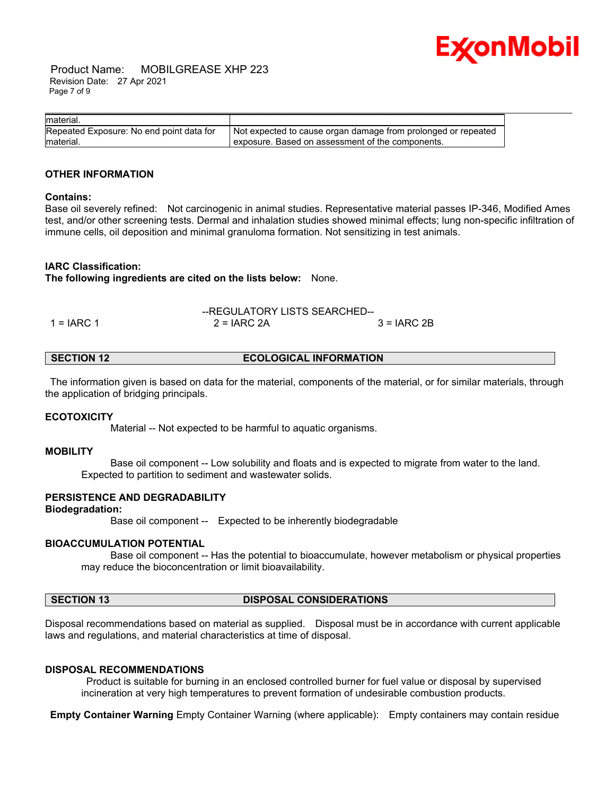

 Product Name: MOBILGREASE XHP 223 Revision Date: 27 Apr 2021 Page 7 of 9

| material.                                |                                                               |
|------------------------------------------|---------------------------------------------------------------|
| Repeated Exposure: No end point data for | Not expected to cause organ damage from prolonged or repeated |
| material.                                | exposure. Based on assessment of the components.              |

#### **OTHER INFORMATION**

#### **Contains:**

Base oil severely refined: Not carcinogenic in animal studies. Representative material passes IP-346, Modified Ames test, and/or other screening tests. Dermal and inhalation studies showed minimal effects; lung non-specific infiltration of immune cells, oil deposition and minimal granuloma formation. Not sensitizing in test animals.

#### **IARC Classification:**

**The following ingredients are cited on the lists below:** None.

|              | --REGULATORY LISTS SEARCHED-- |              |
|--------------|-------------------------------|--------------|
| $1 = IARC 1$ | $2 = IARC 2A$                 | $3 = IARC2B$ |

| <b>ECOLOGICAL INFORMATION</b><br><b>SECTION 12</b> |  |
|----------------------------------------------------|--|
|----------------------------------------------------|--|

 The information given is based on data for the material, components of the material, or for similar materials, through the application of bridging principals.

#### **ECOTOXICITY**

Material -- Not expected to be harmful to aquatic organisms.

#### **MOBILITY**

 Base oil component -- Low solubility and floats and is expected to migrate from water to the land. Expected to partition to sediment and wastewater solids.

#### **PERSISTENCE AND DEGRADABILITY**

#### **Biodegradation:**

Base oil component -- Expected to be inherently biodegradable

#### **BIOACCUMULATION POTENTIAL**

 Base oil component -- Has the potential to bioaccumulate, however metabolism or physical properties may reduce the bioconcentration or limit bioavailability.

#### **SECTION 13 DISPOSAL CONSIDERATIONS**

Disposal recommendations based on material as supplied. Disposal must be in accordance with current applicable laws and regulations, and material characteristics at time of disposal.

#### **DISPOSAL RECOMMENDATIONS**

 Product is suitable for burning in an enclosed controlled burner for fuel value or disposal by supervised incineration at very high temperatures to prevent formation of undesirable combustion products.

**Empty Container Warning** Empty Container Warning (where applicable): Empty containers may contain residue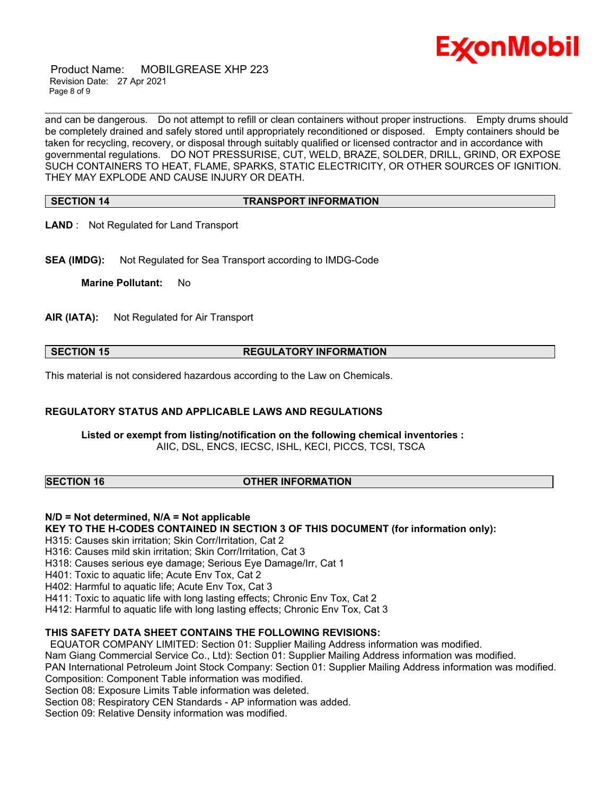

 Product Name: MOBILGREASE XHP 223 Revision Date: 27 Apr 2021 Page 8 of 9

\_\_\_\_\_\_\_\_\_\_\_\_\_\_\_\_\_\_\_\_\_\_\_\_\_\_\_\_\_\_\_\_\_\_\_\_\_\_\_\_\_\_\_\_\_\_\_\_\_\_\_\_\_\_\_\_\_\_\_\_\_\_\_\_\_\_\_\_\_\_\_\_\_\_\_\_\_\_\_\_\_\_\_\_\_\_\_\_\_\_\_\_\_\_\_\_\_\_\_\_\_\_\_\_\_\_\_\_\_\_\_\_\_\_\_\_\_\_ and can be dangerous. Do not attempt to refill or clean containers without proper instructions. Empty drums should be completely drained and safely stored until appropriately reconditioned or disposed. Empty containers should be taken for recycling, recovery, or disposal through suitably qualified or licensed contractor and in accordance with governmental regulations. DO NOT PRESSURISE, CUT, WELD, BRAZE, SOLDER, DRILL, GRIND, OR EXPOSE SUCH CONTAINERS TO HEAT, FLAME, SPARKS, STATIC ELECTRICITY, OR OTHER SOURCES OF IGNITION. THEY MAY EXPLODE AND CAUSE INJURY OR DEATH.

#### **SECTION 14 TRANSPORT INFORMATION**

**LAND** : Not Regulated for Land Transport

**SEA (IMDG):** Not Regulated for Sea Transport according to IMDG-Code

**Marine Pollutant:** No

**AIR (IATA):** Not Regulated for Air Transport

#### **SECTION 15 REGULATORY INFORMATION**

This material is not considered hazardous according to the Law on Chemicals.

#### **REGULATORY STATUS AND APPLICABLE LAWS AND REGULATIONS**

**Listed or exempt from listing/notification on the following chemical inventories :**  AIIC, DSL, ENCS, IECSC, ISHL, KECI, PICCS, TCSI, TSCA

#### **SECTION 16 OTHER INFORMATION**

**N/D = Not determined, N/A = Not applicable**

**KEY TO THE H-CODES CONTAINED IN SECTION 3 OF THIS DOCUMENT (for information only):**

H315: Causes skin irritation; Skin Corr/Irritation, Cat 2

H316: Causes mild skin irritation; Skin Corr/Irritation, Cat 3

H318: Causes serious eye damage; Serious Eye Damage/Irr, Cat 1

H401: Toxic to aquatic life; Acute Env Tox, Cat 2

H402: Harmful to aquatic life; Acute Env Tox, Cat 3

H411: Toxic to aquatic life with long lasting effects; Chronic Env Tox, Cat 2

H412: Harmful to aquatic life with long lasting effects; Chronic Env Tox, Cat 3

#### **THIS SAFETY DATA SHEET CONTAINS THE FOLLOWING REVISIONS:**

EQUATOR COMPANY LIMITED: Section 01: Supplier Mailing Address information was modified.

Nam Giang Commercial Service Co., Ltd): Section 01: Supplier Mailing Address information was modified.

PAN International Petroleum Joint Stock Company: Section 01: Supplier Mailing Address information was modified.

Composition: Component Table information was modified.

Section 08: Exposure Limits Table information was deleted.

Section 08: Respiratory CEN Standards - AP information was added.

Section 09: Relative Density information was modified.